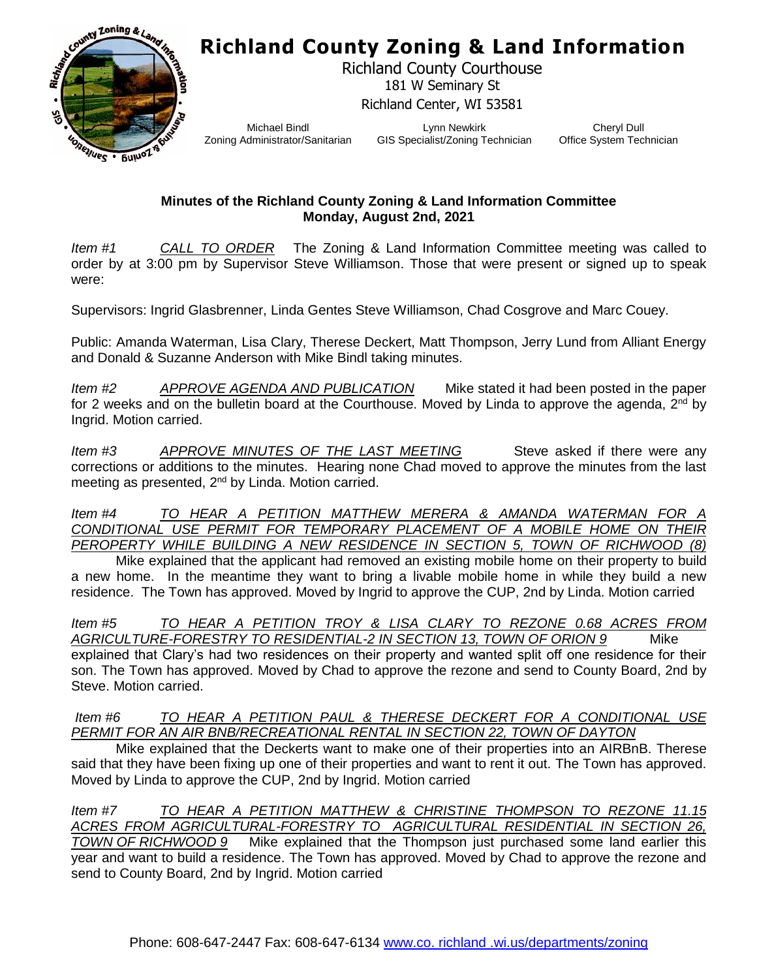## **Richland County Zoning & Land Information**



Richland County Courthouse 181 W Seminary St Richland Center, WI 53581

Michael Bindl Zoning Administrator/Sanitarian

Lynn Newkirk GIS Specialist/Zoning Technician

Cheryl Dull Office System Technician

## **Minutes of the Richland County Zoning & Land Information Committee Monday, August 2nd, 2021**

*Item #1 CALL TO ORDER* The Zoning & Land Information Committee meeting was called to order by at 3:00 pm by Supervisor Steve Williamson. Those that were present or signed up to speak were:

Supervisors: Ingrid Glasbrenner, Linda Gentes Steve Williamson, Chad Cosgrove and Marc Couey.

Public: Amanda Waterman, Lisa Clary, Therese Deckert, Matt Thompson, Jerry Lund from Alliant Energy and Donald & Suzanne Anderson with Mike Bindl taking minutes.

*Item #2 APPROVE AGENDA AND PUBLICATION* Mike stated it had been posted in the paper for 2 weeks and on the bulletin board at the Courthouse. Moved by Linda to approve the agenda,  $2^{nd}$  by Ingrid. Motion carried.

*Item #3 APPROVE MINUTES OF THE LAST MEETING* Steve asked if there were any corrections or additions to the minutes. Hearing none Chad moved to approve the minutes from the last meeting as presented, 2<sup>nd</sup> by Linda. Motion carried.

*Item #4 TO HEAR A PETITION MATTHEW MERERA & AMANDA WATERMAN FOR A CONDITIONAL USE PERMIT FOR TEMPORARY PLACEMENT OF A MOBILE HOME ON THEIR PEROPERTY WHILE BUILDING A NEW RESIDENCE IN SECTION 5, TOWN OF RICHWOOD (8)*

Mike explained that the applicant had removed an existing mobile home on their property to build a new home. In the meantime they want to bring a livable mobile home in while they build a new residence. The Town has approved. Moved by Ingrid to approve the CUP, 2nd by Linda. Motion carried

*Item #5 TO HEAR A PETITION TROY & LISA CLARY TO REZONE 0.68 ACRES FROM AGRICULTURE-FORESTRY TO RESIDENTIAL-2 IN SECTION 13, TOWN OF ORION 9* Mike explained that Clary's had two residences on their property and wanted split off one residence for their son. The Town has approved. Moved by Chad to approve the rezone and send to County Board, 2nd by Steve. Motion carried.

*Item #6 TO HEAR A PETITION PAUL & THERESE DECKERT FOR A CONDITIONAL USE PERMIT FOR AN AIR BNB/RECREATIONAL RENTAL IN SECTION 22, TOWN OF DAYTON*

Mike explained that the Deckerts want to make one of their properties into an AIRBnB. Therese said that they have been fixing up one of their properties and want to rent it out. The Town has approved. Moved by Linda to approve the CUP, 2nd by Ingrid. Motion carried

*Item #7 TO HEAR A PETITION MATTHEW & CHRISTINE THOMPSON TO REZONE 11.15 ACRES FROM AGRICULTURAL-FORESTRY TO AGRICULTURAL RESIDENTIAL IN SECTION 26, TOWN OF RICHWOOD 9* Mike explained that the Thompson just purchased some land earlier this year and want to build a residence. The Town has approved. Moved by Chad to approve the rezone and send to County Board, 2nd by Ingrid. Motion carried